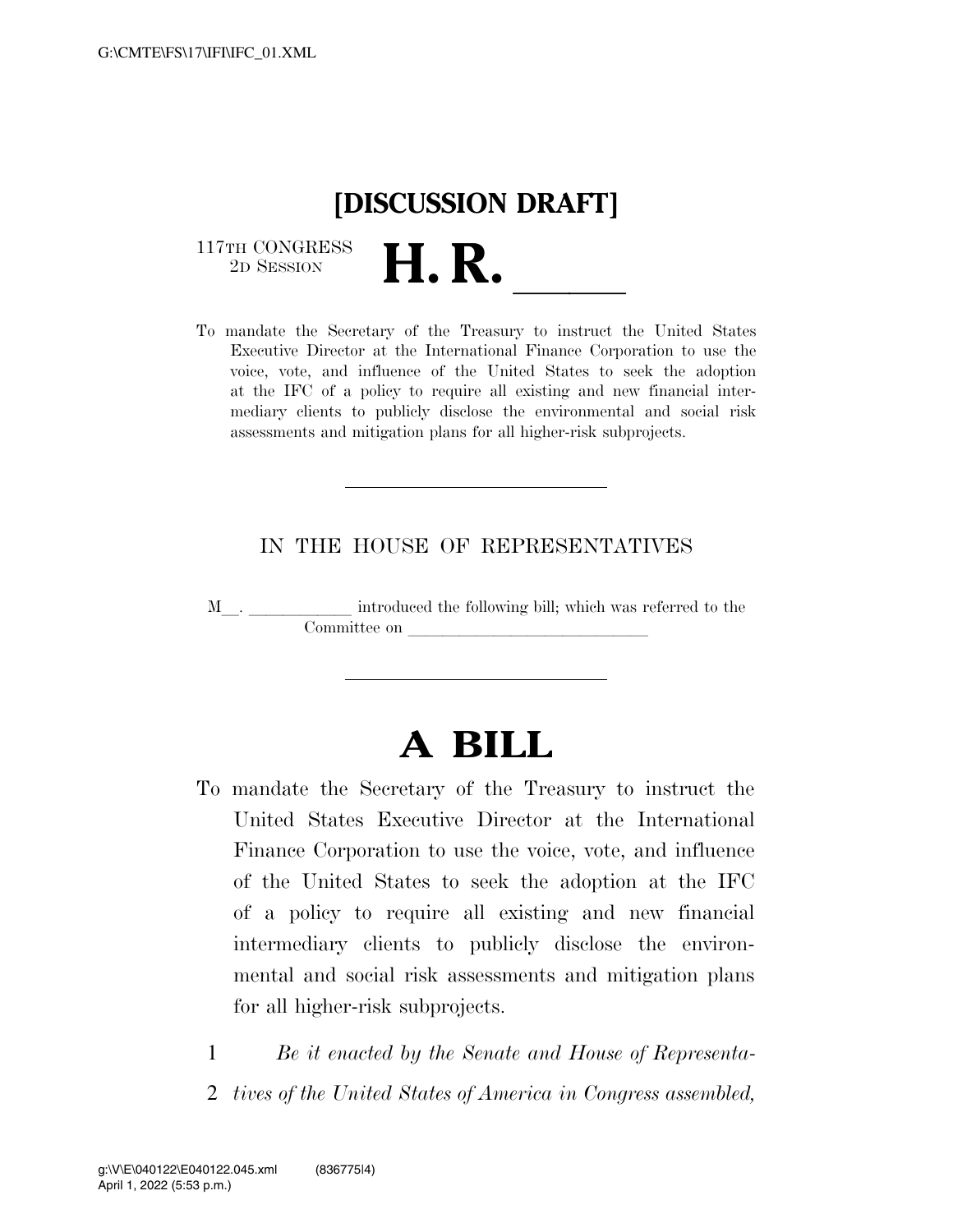# **[DISCUSSION DRAFT]**

 $\begin{array}{c} \text{117TH CONGRESS} \\ \text{2D Session} \end{array}$ 117TH CONGRESS<br>
2D SESSION<br>
To mandate the Secretary of the Treasury to instruct the United States

Executive Director at the International Finance Corporation to use the voice, vote, and influence of the United States to seek the adoption at the IFC of a policy to require all existing and new financial intermediary clients to publicly disclose the environmental and social risk assessments and mitigation plans for all higher-risk subprojects.

### IN THE HOUSE OF REPRESENTATIVES

M  $\_$   $\_$   $\_$   $\_$  introduced the following bill; which was referred to the Committee on

## **A BILL**

- To mandate the Secretary of the Treasury to instruct the United States Executive Director at the International Finance Corporation to use the voice, vote, and influence of the United States to seek the adoption at the IFC of a policy to require all existing and new financial intermediary clients to publicly disclose the environmental and social risk assessments and mitigation plans for all higher-risk subprojects.
	- 1 *Be it enacted by the Senate and House of Representa-*
	- 2 *tives of the United States of America in Congress assembled,*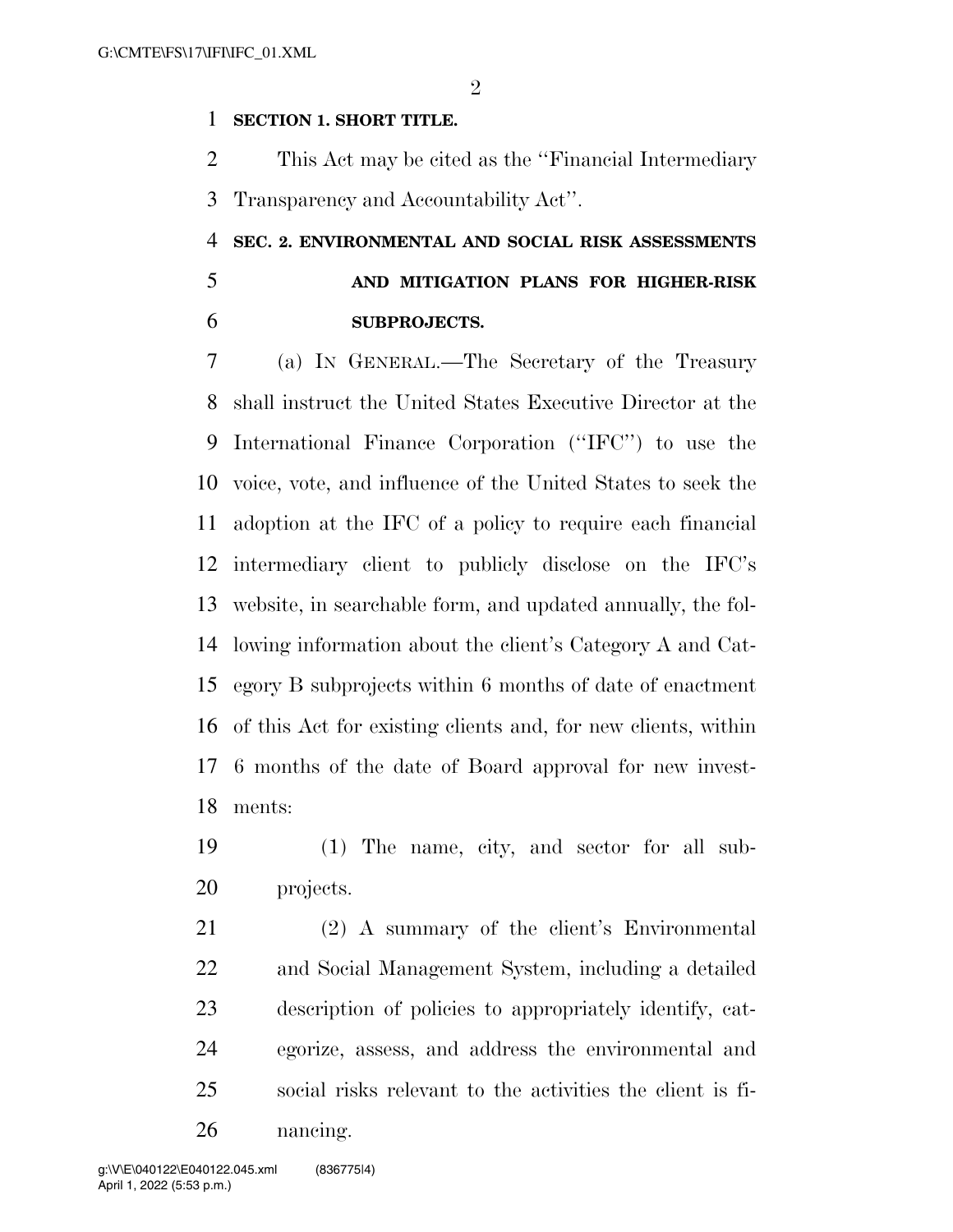$\mathfrak{D}$ 

#### **SECTION 1. SHORT TITLE.**

 This Act may be cited as the ''Financial Intermediary Transparency and Accountability Act''.

### **SEC. 2. ENVIRONMENTAL AND SOCIAL RISK ASSESSMENTS AND MITIGATION PLANS FOR HIGHER-RISK SUBPROJECTS.**

 (a) IN GENERAL.—The Secretary of the Treasury shall instruct the United States Executive Director at the International Finance Corporation (''IFC'') to use the voice, vote, and influence of the United States to seek the adoption at the IFC of a policy to require each financial intermediary client to publicly disclose on the IFC's website, in searchable form, and updated annually, the fol- lowing information about the client's Category A and Cat- egory B subprojects within 6 months of date of enactment of this Act for existing clients and, for new clients, within 6 months of the date of Board approval for new invest-ments:

 (1) The name, city, and sector for all sub-projects.

 (2) A summary of the client's Environmental and Social Management System, including a detailed description of policies to appropriately identify, cat- egorize, assess, and address the environmental and social risks relevant to the activities the client is fi-nancing.